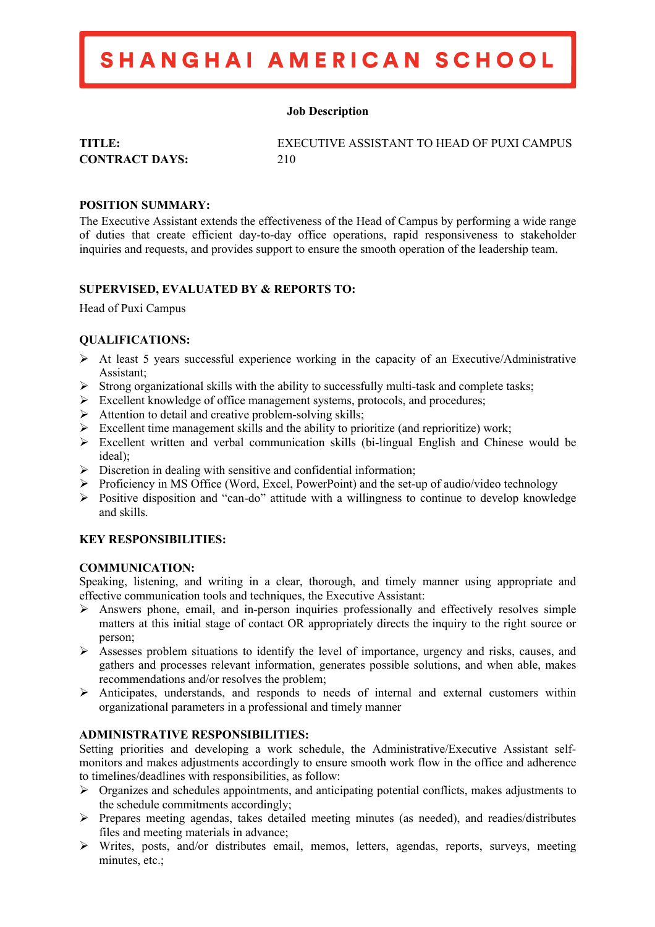## SHANGHAI AMERICAN SCHOOL

## **Job Description**

**CONTRACT DAYS:** 210

**TITLE:** EXECUTIVE ASSISTANT TO HEAD OF PUXI CAMPUS

## **POSITION SUMMARY:**

The Executive Assistant extends the effectiveness of the Head of Campus by performing a wide range of duties that create efficient day-to-day office operations, rapid responsiveness to stakeholder inquiries and requests, and provides support to ensure the smooth operation of the leadership team.

## **SUPERVISED, EVALUATED BY & REPORTS TO:**

Head of Puxi Campus

## **QUALIFICATIONS:**

- $\triangleright$  At least 5 years successful experience working in the capacity of an Executive/Administrative Assistant;
- $\triangleright$  Strong organizational skills with the ability to successfully multi-task and complete tasks;
- Ø Excellent knowledge of office management systems, protocols, and procedures;
- $\triangleright$  Attention to detail and creative problem-solving skills;
- $\triangleright$  Excellent time management skills and the ability to prioritize (and reprioritize) work;
- $\triangleright$  Excellent written and verbal communication skills (bi-lingual English and Chinese would be ideal);
- $\triangleright$  Discretion in dealing with sensitive and confidential information;
- Ø Proficiency in MS Office (Word, Excel, PowerPoint) and the set-up of audio/video technology
- $\triangleright$  Positive disposition and "can-do" attitude with a willingness to continue to develop knowledge and skills.

## **KEY RESPONSIBILITIES:**

### **COMMUNICATION:**

Speaking, listening, and writing in a clear, thorough, and timely manner using appropriate and effective communication tools and techniques, the Executive Assistant:

- $\triangleright$  Answers phone, email, and in-person inquiries professionally and effectively resolves simple matters at this initial stage of contact OR appropriately directs the inquiry to the right source or person;
- Ø Assesses problem situations to identify the level of importance, urgency and risks, causes, and gathers and processes relevant information, generates possible solutions, and when able, makes recommendations and/or resolves the problem;
- $\triangleright$  Anticipates, understands, and responds to needs of internal and external customers within organizational parameters in a professional and timely manner

### **ADMINISTRATIVE RESPONSIBILITIES:**

Setting priorities and developing a work schedule, the Administrative/Executive Assistant selfmonitors and makes adjustments accordingly to ensure smooth work flow in the office and adherence to timelines/deadlines with responsibilities, as follow:

- $\triangleright$  Organizes and schedules appointments, and anticipating potential conflicts, makes adjustments to the schedule commitments accordingly;
- Ø Prepares meeting agendas, takes detailed meeting minutes (as needed), and readies/distributes files and meeting materials in advance;
- Ø Writes, posts, and/or distributes email, memos, letters, agendas, reports, surveys, meeting minutes, etc.;